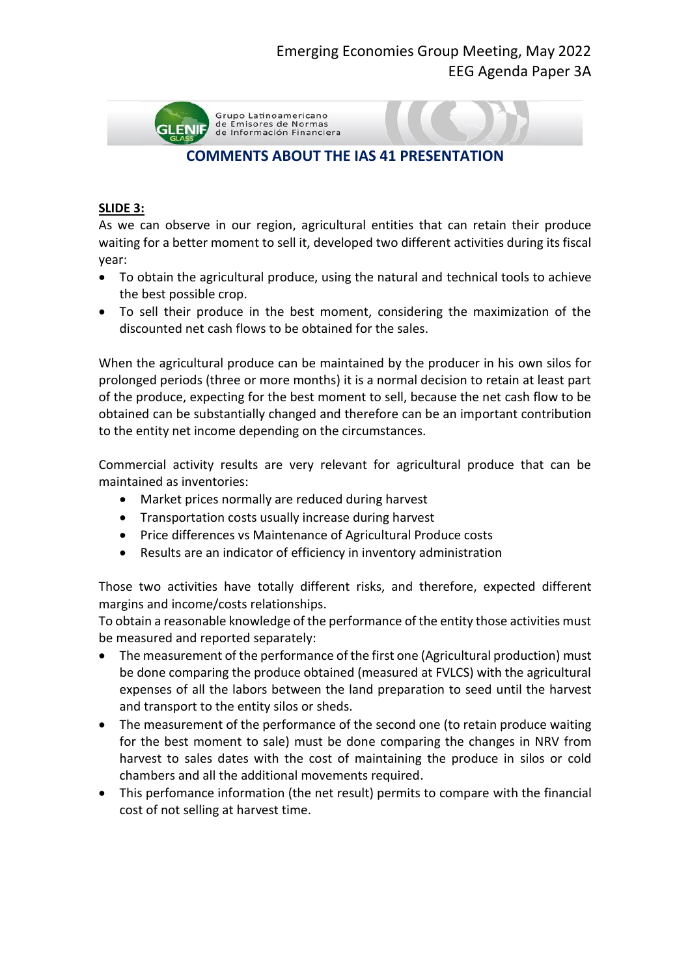

# **COMMENTS ABOUT THE IAS 41 PRESENTATION**

### **SLIDE 3:**

As we can observe in our region, agricultural entities that can retain their produce waiting for a better moment to sell it, developed two different activities during its fiscal year:

- To obtain the agricultural produce, using the natural and technical tools to achieve the best possible crop.
- To sell their produce in the best moment, considering the maximization of the discounted net cash flows to be obtained for the sales.

When the agricultural produce can be maintained by the producer in his own silos for prolonged periods (three or more months) it is a normal decision to retain at least part of the produce, expecting for the best moment to sell, because the net cash flow to be obtained can be substantially changed and therefore can be an important contribution to the entity net income depending on the circumstances.

Commercial activity results are very relevant for agricultural produce that can be maintained as inventories:

- Market prices normally are reduced during harvest
- Transportation costs usually increase during harvest
- Price differences vs Maintenance of Agricultural Produce costs
- Results are an indicator of efficiency in inventory administration

Those two activities have totally different risks, and therefore, expected different margins and income/costs relationships.

To obtain a reasonable knowledge of the performance of the entity those activities must be measured and reported separately:

- The measurement of the performance of the first one (Agricultural production) must be done comparing the produce obtained (measured at FVLCS) with the agricultural expenses of all the labors between the land preparation to seed until the harvest and transport to the entity silos or sheds.
- The measurement of the performance of the second one (to retain produce waiting for the best moment to sale) must be done comparing the changes in NRV from harvest to sales dates with the cost of maintaining the produce in silos or cold chambers and all the additional movements required.
- This perfomance information (the net result) permits to compare with the financial cost of not selling at harvest time.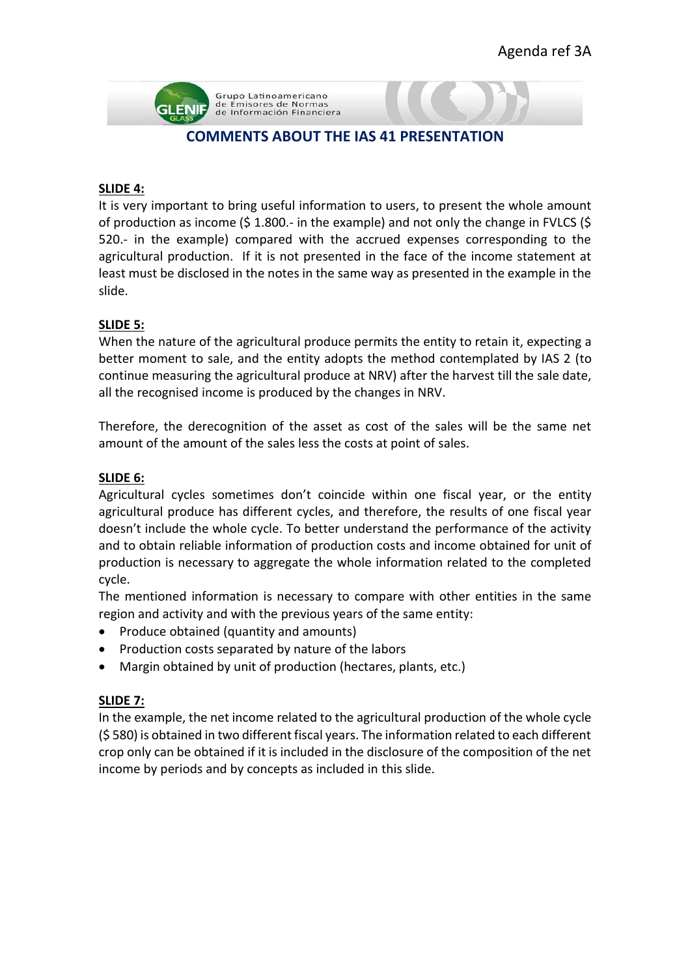

## **COMMENTS ABOUT THE IAS 41 PRESENTATION**

#### **SLIDE 4:**

It is very important to bring useful information to users, to present the whole amount of production as income (\$ 1.800.- in the example) and not only the change in FVLCS (\$ 520.- in the example) compared with the accrued expenses corresponding to the agricultural production. If it is not presented in the face of the income statement at least must be disclosed in the notes in the same way as presented in the example in the slide.

## **SLIDE 5:**

When the nature of the agricultural produce permits the entity to retain it, expecting a better moment to sale, and the entity adopts the method contemplated by IAS 2 (to continue measuring the agricultural produce at NRV) after the harvest till the sale date, all the recognised income is produced by the changes in NRV.

Therefore, the derecognition of the asset as cost of the sales will be the same net amount of the amount of the sales less the costs at point of sales.

#### **SLIDE 6:**

Agricultural cycles sometimes don't coincide within one fiscal year, or the entity agricultural produce has different cycles, and therefore, the results of one fiscal year doesn't include the whole cycle. To better understand the performance of the activity and to obtain reliable information of production costs and income obtained for unit of production is necessary to aggregate the whole information related to the completed cycle.

The mentioned information is necessary to compare with other entities in the same region and activity and with the previous years of the same entity:

- Produce obtained (quantity and amounts)
- Production costs separated by nature of the labors
- Margin obtained by unit of production (hectares, plants, etc.)

#### **SLIDE 7:**

In the example, the net income related to the agricultural production of the whole cycle (\$ 580) is obtained in two different fiscal years. The information related to each different crop only can be obtained if it is included in the disclosure of the composition of the net income by periods and by concepts as included in this slide.